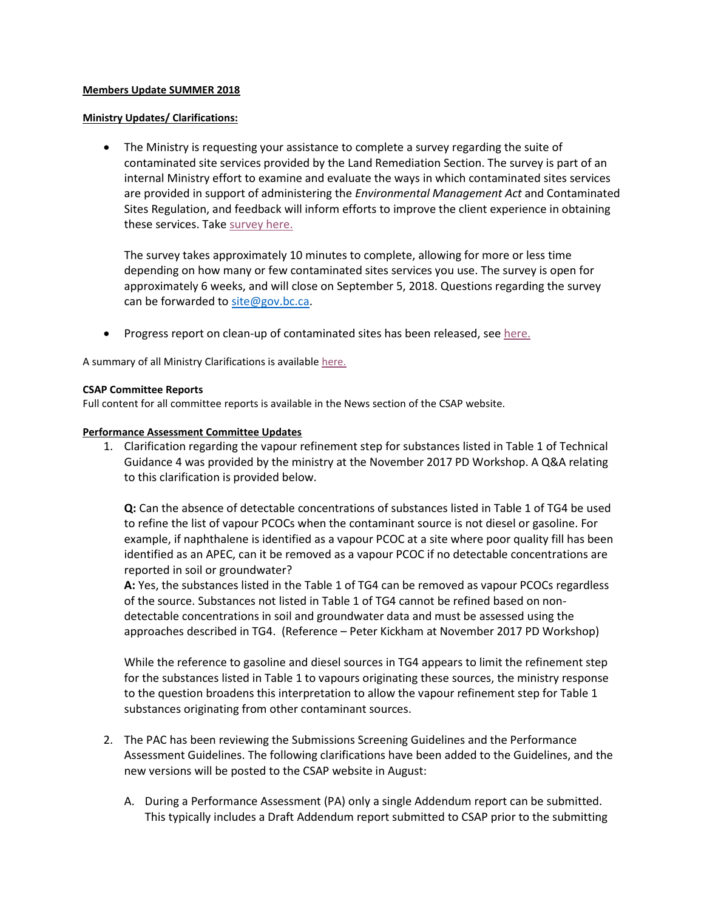## **Members Update SUMMER 2018**

### **Ministry Updates/ Clarifications:**

 The Ministry is requesting your assistance to complete a survey regarding the suite of contaminated site services provided by the Land Remediation Section. The survey is part of an internal Ministry effort to examine and evaluate the ways in which contaminated sites services are provided in support of administering the *Environmental Management Act* and Contaminated Sites Regulation, and feedback will inform efforts to improve the client experience in obtaining these services. Tak[e survey here.](https://www.surveymonkey.com/r/CSSCS2018)

The survey takes approximately 10 minutes to complete, allowing for more or less time depending on how many or few contaminated sites services you use. The survey is open for approximately 6 weeks, and will close on September 5, 2018. Questions regarding the survey can be forwarded to [site@gov.bc.ca.](mailto:site@gov.bc.ca)

Progress report on clean-up of contaminated sites has been released, see [here.](https://news.gov.bc.ca/releases/2018FLNR0167-001338)

A summary of all Ministry Clarifications is available [here.](https://csapsociety.bc.ca/wp-content/uploads/Ministry-Updates-Spring-2018-to-Summer-2012.pdf)

### **CSAP Committee Reports**

Full content for all committee reports is available in the News section of the CSAP website.

### **Performance Assessment Committee Updates**

1. Clarification regarding the vapour refinement step for substances listed in Table 1 of Technical Guidance 4 was provided by the ministry at the November 2017 PD Workshop. A Q&A relating to this clarification is provided below.

**Q:** Can the absence of detectable concentrations of substances listed in Table 1 of TG4 be used to refine the list of vapour PCOCs when the contaminant source is not diesel or gasoline. For example, if naphthalene is identified as a vapour PCOC at a site where poor quality fill has been identified as an APEC, can it be removed as a vapour PCOC if no detectable concentrations are reported in soil or groundwater?

**A:** Yes, the substances listed in the Table 1 of TG4 can be removed as vapour PCOCs regardless of the source. Substances not listed in Table 1 of TG4 cannot be refined based on nondetectable concentrations in soil and groundwater data and must be assessed using the approaches described in TG4. (Reference – Peter Kickham at November 2017 PD Workshop)

While the reference to gasoline and diesel sources in TG4 appears to limit the refinement step for the substances listed in Table 1 to vapours originating these sources, the ministry response to the question broadens this interpretation to allow the vapour refinement step for Table 1 substances originating from other contaminant sources.

- 2. The PAC has been reviewing the Submissions Screening Guidelines and the Performance Assessment Guidelines. The following clarifications have been added to the Guidelines, and the new versions will be posted to the CSAP website in August:
	- A. During a Performance Assessment (PA) only a single Addendum report can be submitted. This typically includes a Draft Addendum report submitted to CSAP prior to the submitting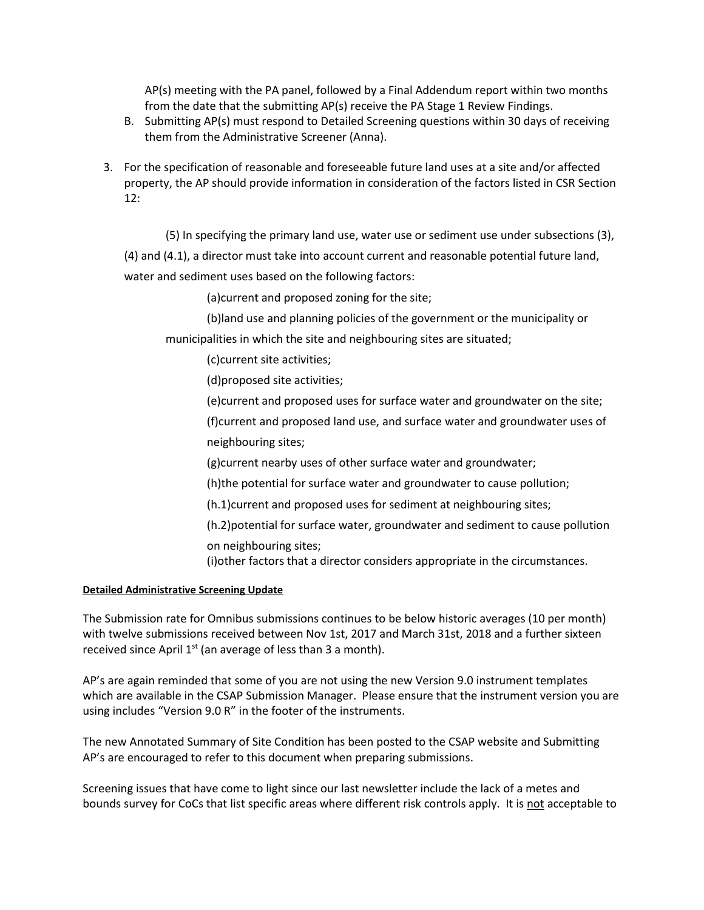AP(s) meeting with the PA panel, followed by a Final Addendum report within two months from the date that the submitting AP(s) receive the PA Stage 1 Review Findings.

- B. Submitting AP(s) must respond to Detailed Screening questions within 30 days of receiving them from the Administrative Screener (Anna).
- 3. For the specification of reasonable and foreseeable future land uses at a site and/or affected property, the AP should provide information in consideration of the factors listed in CSR Section 12:

(5) In specifying the primary land use, water use or sediment use under subsections (3),

(4) and (4.1), a director must take into account current and reasonable potential future land, water and sediment uses based on the following factors:

(a)current and proposed zoning for the site;

(b)land use and planning policies of the government or the municipality or

municipalities in which the site and neighbouring sites are situated;

(c)current site activities;

(d)proposed site activities;

(e)current and proposed uses for surface water and groundwater on the site;

(f)current and proposed land use, and surface water and groundwater uses of neighbouring sites;

(g)current nearby uses of other surface water and groundwater;

(h)the potential for surface water and groundwater to cause pollution;

(h.1)current and proposed uses for sediment at neighbouring sites;

- (h.2)potential for surface water, groundwater and sediment to cause pollution
- on neighbouring sites;

(i)other factors that a director considers appropriate in the circumstances.

## **Detailed Administrative Screening Update**

The Submission rate for Omnibus submissions continues to be below historic averages (10 per month) with twelve submissions received between Nov 1st, 2017 and March 31st, 2018 and a further sixteen received since April  $1^{st}$  (an average of less than 3 a month).

AP's are again reminded that some of you are not using the new Version 9.0 instrument templates which are available in the CSAP Submission Manager. Please ensure that the instrument version you are using includes "Version 9.0 R" in the footer of the instruments.

The new Annotated Summary of Site Condition has been posted to the CSAP website and Submitting AP's are encouraged to refer to this document when preparing submissions.

Screening issues that have come to light since our last newsletter include the lack of a metes and bounds survey for CoCs that list specific areas where different risk controls apply. It is not acceptable to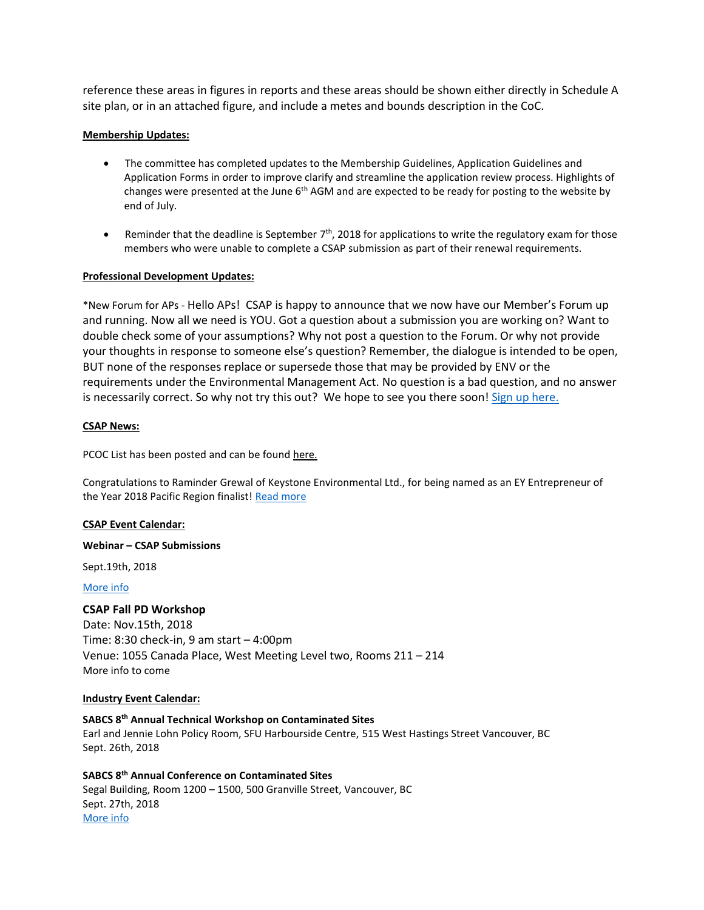reference these areas in figures in reports and these areas should be shown either directly in Schedule A site plan, or in an attached figure, and include a metes and bounds description in the CoC.

## **Membership Updates:**

- The committee has completed updates to the Membership Guidelines, Application Guidelines and Application Forms in order to improve clarify and streamline the application review process. Highlights of changes were presented at the June 6<sup>th</sup> AGM and are expected to be ready for posting to the website by end of July.
- **•** Reminder that the deadline is September  $7<sup>th</sup>$ , 2018 for applications to write the regulatory exam for those members who were unable to complete a CSAP submission as part of their renewal requirements.

#### **Professional Development Updates:**

\*New Forum for APs - Hello APs! CSAP is happy to announce that we now have our Member's Forum up and running. Now all we need is YOU. Got a question about a submission you are working on? Want to double check some of your assumptions? Why not post a question to the Forum. Or why not provide your thoughts in response to someone else's question? Remember, the dialogue is intended to be open, BUT none of the responses replace or supersede those that may be provided by ENV or the requirements under the Environmental Management Act. No question is a bad question, and no answer is necessarily correct. So why not try this out? We hope to see you there soon! [Sign up here.](https://csapsociety.bc.ca/csap-forum-disclaimer/)

### **CSAP News:**

PCOC List has been posted and can be found [here.](http://csapsociety.bc.ca/wp-content/uploads/r-PCOC-Guidance-June-2018-V1.0-002.pdf)

Congratulations to Raminder Grewal of Keystone Environmental Ltd., for being named as an EY Entrepreneur of the Year 2018 Pacific Region finalist! [Read more](https://mailchi.mp/keystoneenvironmental/keystone-environmental-impact-of-contamination-on-land-value-3305733?e=6a6b9b5989)

#### **CSAP Event Calendar:**

#### **Webinar – CSAP Submissions**

Sept.19th, 2018

[More info](https://csapsociety.bc.ca/events/)

#### **CSAP Fall PD Workshop**

Date: Nov.15th, 2018 Time: 8:30 check-in, 9 am start – 4:00pm Venue: 1055 Canada Place, West Meeting Level two, Rooms 211 – 214 More info to come

### **Industry Event Calendar:**

## **SABCS 8th Annual Technical Workshop on Contaminated Sites**

Earl and Jennie Lohn Policy Room, SFU Harbourside Centre, 515 West Hastings Street Vancouver, BC Sept. 26th, 2018

**SABCS 8th Annual Conference on Contaminated Sites** Segal Building, Room 1200 – 1500, 500 Granville Street, Vancouver, BC Sept. 27th, 2018 [More info](https://csapsociety.bc.ca/events/)